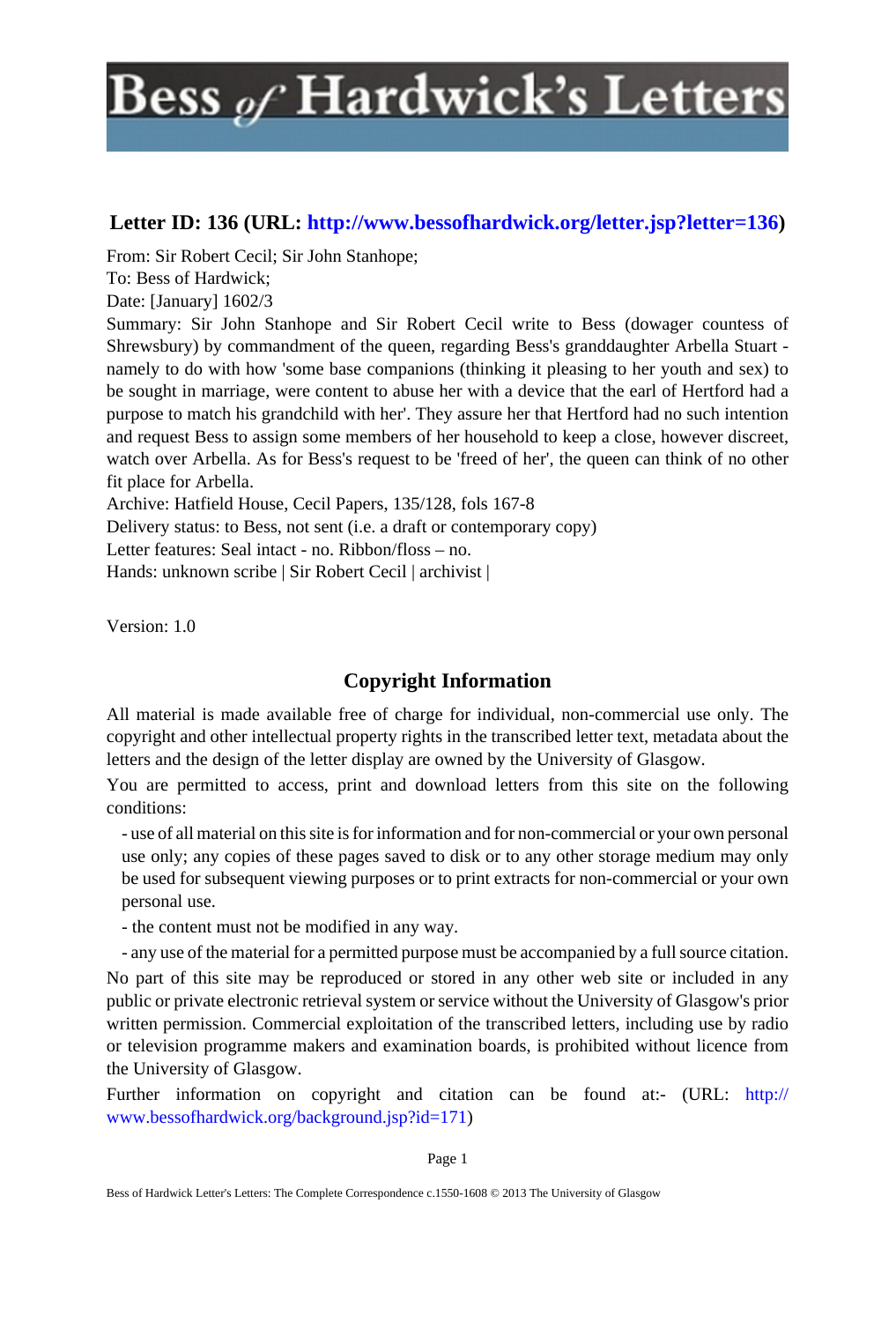### **Letter ID: 136 (URL: [http://www.bessofhardwick.org/letter.jsp?letter=136\)](http://www.bessofhardwick.org/letter.jsp?letter=136)**

From: Sir Robert Cecil; Sir John Stanhope;

To: Bess of Hardwick;

Date: [January] 1602/3

Summary: Sir John Stanhope and Sir Robert Cecil write to Bess (dowager countess of Shrewsbury) by commandment of the queen, regarding Bess's granddaughter Arbella Stuart namely to do with how 'some base companions (thinking it pleasing to her youth and sex) to be sought in marriage, were content to abuse her with a device that the earl of Hertford had a purpose to match his grandchild with her'. They assure her that Hertford had no such intention and request Bess to assign some members of her household to keep a close, however discreet, watch over Arbella. As for Bess's request to be 'freed of her', the queen can think of no other fit place for Arbella.

Archive: Hatfield House, Cecil Papers, 135/128, fols 167-8

Delivery status: to Bess, not sent (i.e. a draft or contemporary copy)

Letter features: Seal intact - no. Ribbon/floss – no.

Hands: unknown scribe | Sir Robert Cecil | archivist |

Version: 1.0

### **Copyright Information**

All material is made available free of charge for individual, non-commercial use only. The copyright and other intellectual property rights in the transcribed letter text, metadata about the letters and the design of the letter display are owned by the University of Glasgow.

You are permitted to access, print and download letters from this site on the following conditions:

- use of all material on this site is for information and for non-commercial or your own personal use only; any copies of these pages saved to disk or to any other storage medium may only be used for subsequent viewing purposes or to print extracts for non-commercial or your own personal use.

- the content must not be modified in any way.

- any use of the material for a permitted purpose must be accompanied by a full source citation.

No part of this site may be reproduced or stored in any other web site or included in any public or private electronic retrieval system or service without the University of Glasgow's prior written permission. Commercial exploitation of the transcribed letters, including use by radio or television programme makers and examination boards, is prohibited without licence from the University of Glasgow.

Further information on copyright and citation can be found at:- (URL: [http://](http://www.bessofhardwick.org/background.jsp?id=171) [www.bessofhardwick.org/background.jsp?id=171\)](http://www.bessofhardwick.org/background.jsp?id=171)

Bess of Hardwick Letter's Letters: The Complete Correspondence c.1550-1608 © 2013 The University of Glasgow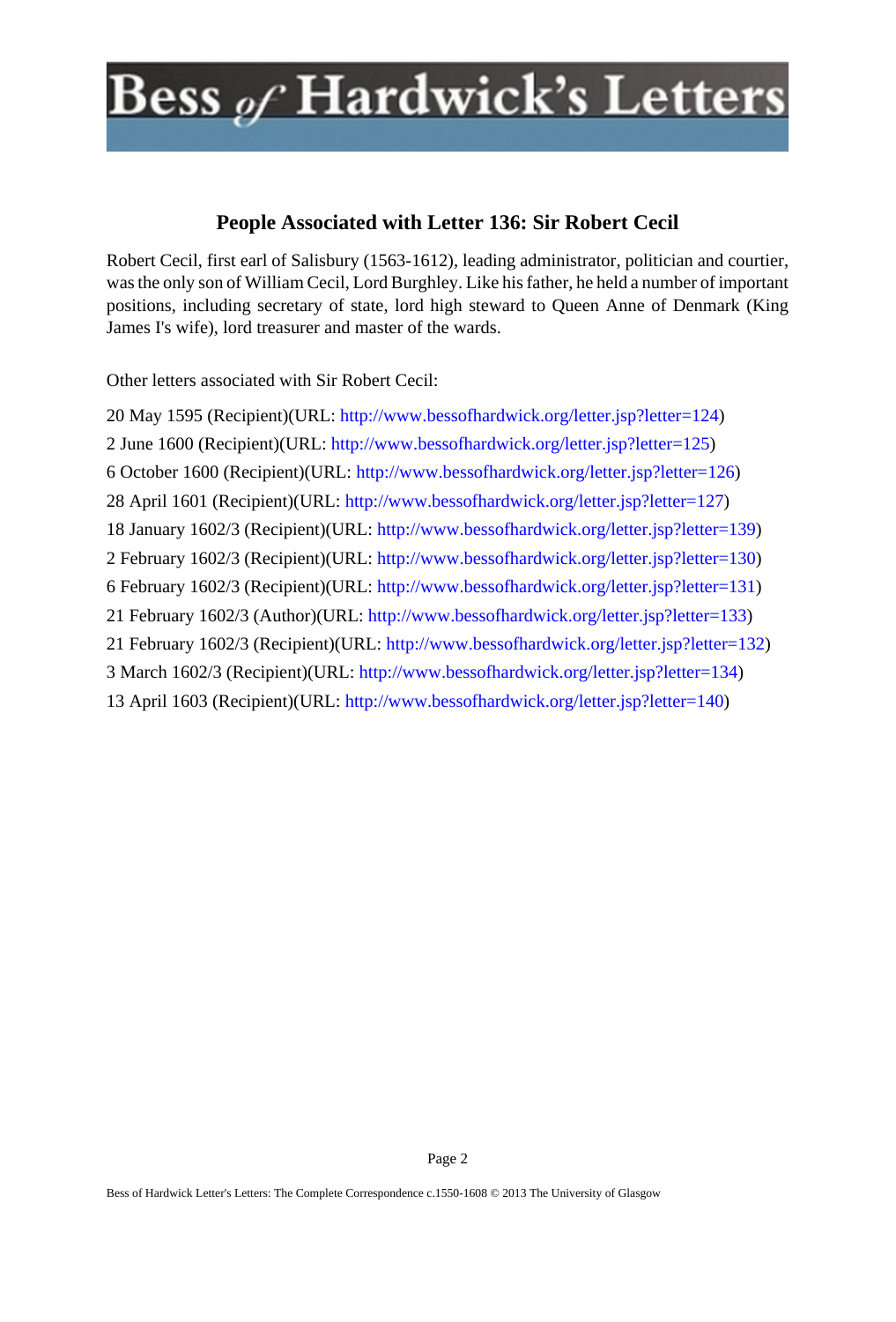### **People Associated with Letter 136: Sir Robert Cecil**

Robert Cecil, first earl of Salisbury (1563-1612), leading administrator, politician and courtier, was the only son of William Cecil, Lord Burghley. Like his father, he held a number of important positions, including secretary of state, lord high steward to Queen Anne of Denmark (King James I's wife), lord treasurer and master of the wards.

Other letters associated with Sir Robert Cecil:

20 May 1595 (Recipient)(URL: [http://www.bessofhardwick.org/letter.jsp?letter=124\)](http://www.bessofhardwick.org/letter.jsp?letter=124) 2 June 1600 (Recipient)(URL: [http://www.bessofhardwick.org/letter.jsp?letter=125\)](http://www.bessofhardwick.org/letter.jsp?letter=125) 6 October 1600 (Recipient)(URL: [http://www.bessofhardwick.org/letter.jsp?letter=126\)](http://www.bessofhardwick.org/letter.jsp?letter=126) 28 April 1601 (Recipient)(URL: <http://www.bessofhardwick.org/letter.jsp?letter=127>) 18 January 1602/3 (Recipient)(URL: [http://www.bessofhardwick.org/letter.jsp?letter=139\)](http://www.bessofhardwick.org/letter.jsp?letter=139) 2 February 1602/3 (Recipient)(URL: [http://www.bessofhardwick.org/letter.jsp?letter=130\)](http://www.bessofhardwick.org/letter.jsp?letter=130) 6 February 1602/3 (Recipient)(URL: [http://www.bessofhardwick.org/letter.jsp?letter=131\)](http://www.bessofhardwick.org/letter.jsp?letter=131) 21 February 1602/3 (Author)(URL: [http://www.bessofhardwick.org/letter.jsp?letter=133\)](http://www.bessofhardwick.org/letter.jsp?letter=133) 21 February 1602/3 (Recipient)(URL: [http://www.bessofhardwick.org/letter.jsp?letter=132\)](http://www.bessofhardwick.org/letter.jsp?letter=132) 3 March 1602/3 (Recipient)(URL: [http://www.bessofhardwick.org/letter.jsp?letter=134\)](http://www.bessofhardwick.org/letter.jsp?letter=134) 13 April 1603 (Recipient)(URL: <http://www.bessofhardwick.org/letter.jsp?letter=140>)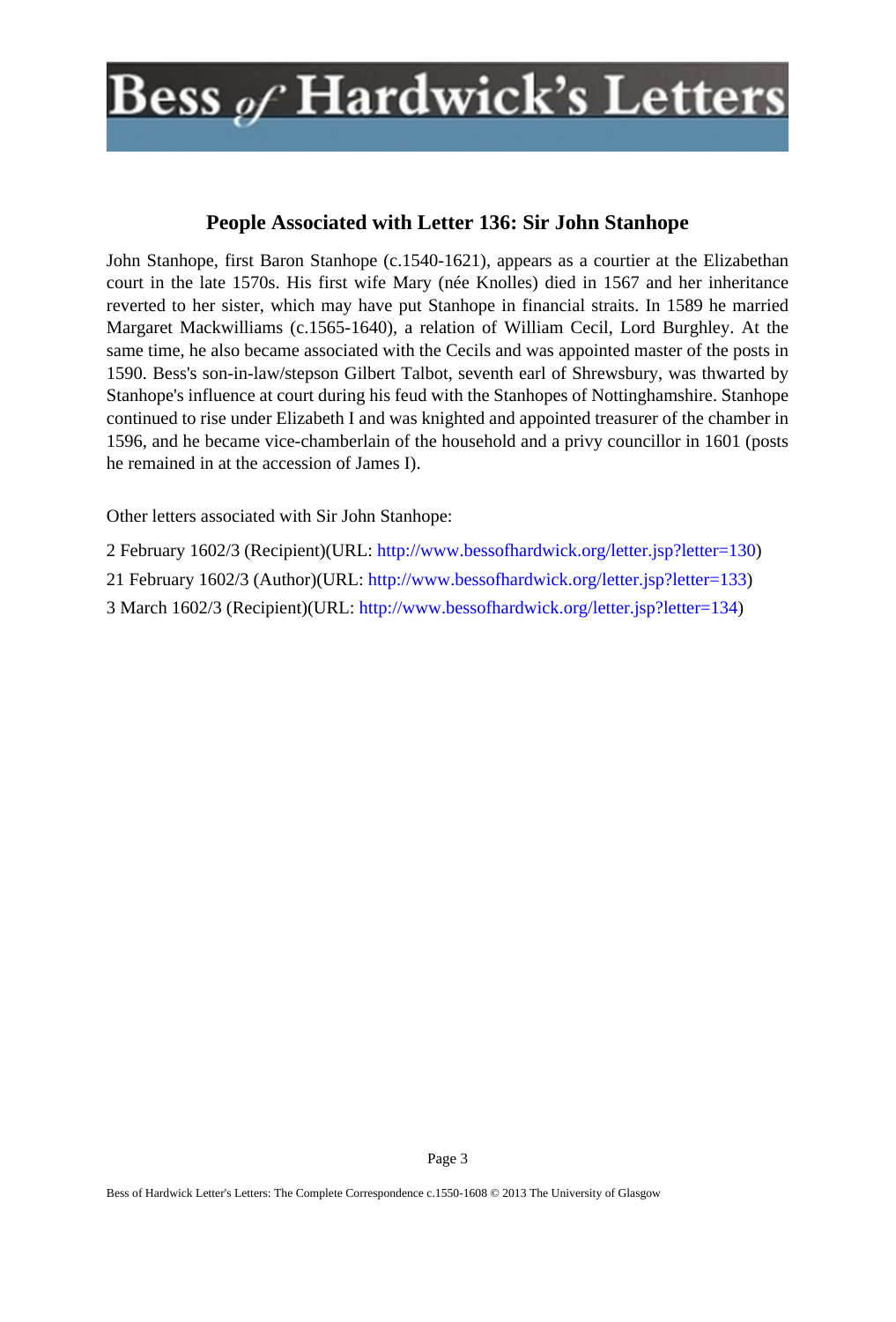### **People Associated with Letter 136: Sir John Stanhope**

John Stanhope, first Baron Stanhope (c.1540-1621), appears as a courtier at the Elizabethan court in the late 1570s. His first wife Mary (née Knolles) died in 1567 and her inheritance reverted to her sister, which may have put Stanhope in financial straits. In 1589 he married Margaret Mackwilliams (c.1565-1640), a relation of William Cecil, Lord Burghley. At the same time, he also became associated with the Cecils and was appointed master of the posts in 1590. Bess's son-in-law/stepson Gilbert Talbot, seventh earl of Shrewsbury, was thwarted by Stanhope's influence at court during his feud with the Stanhopes of Nottinghamshire. Stanhope continued to rise under Elizabeth I and was knighted and appointed treasurer of the chamber in 1596, and he became vice-chamberlain of the household and a privy councillor in 1601 (posts he remained in at the accession of James I).

Other letters associated with Sir John Stanhope:

- 2 February 1602/3 (Recipient)(URL: [http://www.bessofhardwick.org/letter.jsp?letter=130\)](http://www.bessofhardwick.org/letter.jsp?letter=130)
- 21 February 1602/3 (Author)(URL: [http://www.bessofhardwick.org/letter.jsp?letter=133\)](http://www.bessofhardwick.org/letter.jsp?letter=133)
- 3 March 1602/3 (Recipient)(URL: [http://www.bessofhardwick.org/letter.jsp?letter=134\)](http://www.bessofhardwick.org/letter.jsp?letter=134)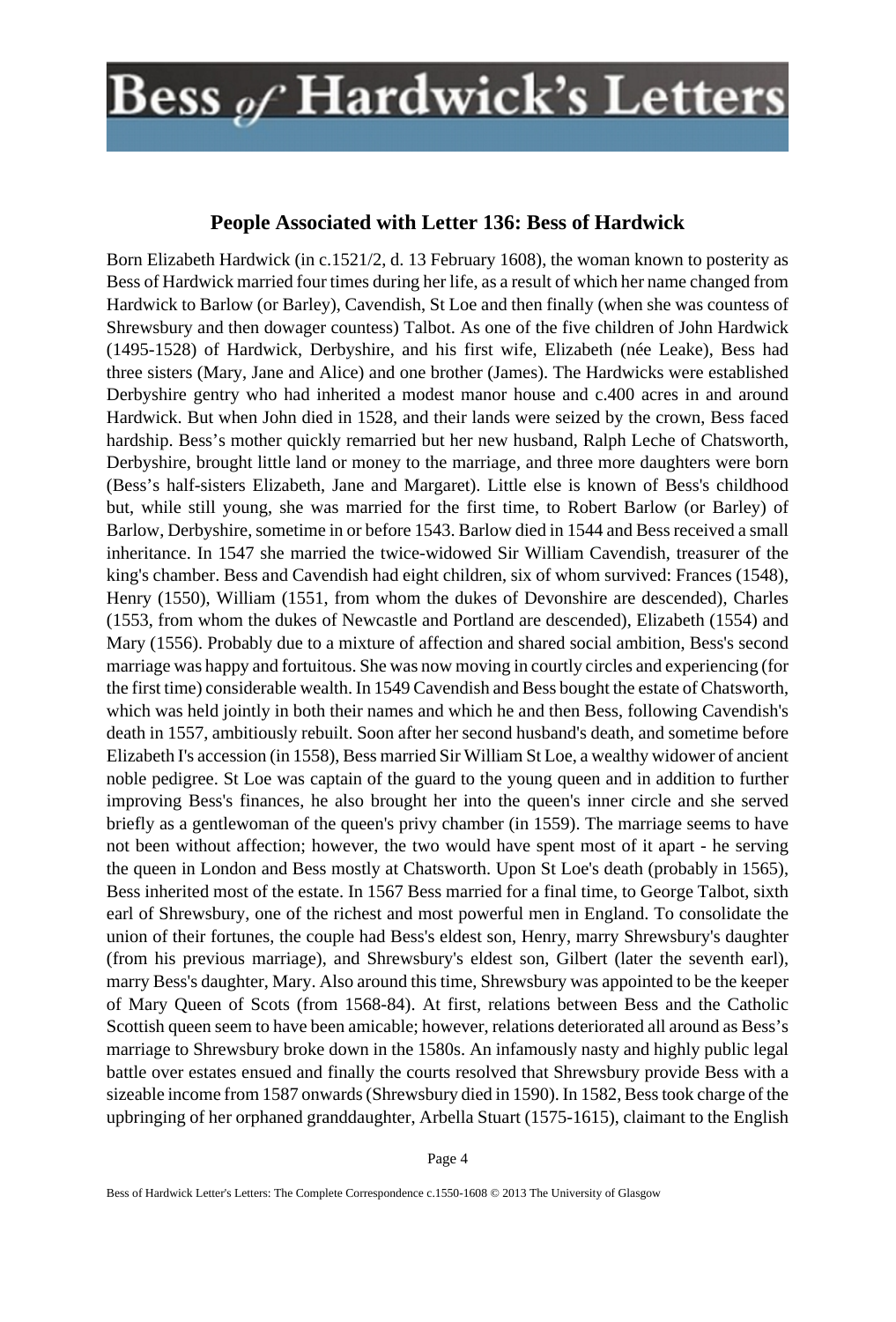### **People Associated with Letter 136: Bess of Hardwick**

Born Elizabeth Hardwick (in c.1521/2, d. 13 February 1608), the woman known to posterity as Bess of Hardwick married four times during her life, as a result of which her name changed from Hardwick to Barlow (or Barley), Cavendish, St Loe and then finally (when she was countess of Shrewsbury and then dowager countess) Talbot. As one of the five children of John Hardwick (1495-1528) of Hardwick, Derbyshire, and his first wife, Elizabeth (née Leake), Bess had three sisters (Mary, Jane and Alice) and one brother (James). The Hardwicks were established Derbyshire gentry who had inherited a modest manor house and c.400 acres in and around Hardwick. But when John died in 1528, and their lands were seized by the crown, Bess faced hardship. Bess's mother quickly remarried but her new husband, Ralph Leche of Chatsworth, Derbyshire, brought little land or money to the marriage, and three more daughters were born (Bess's half-sisters Elizabeth, Jane and Margaret). Little else is known of Bess's childhood but, while still young, she was married for the first time, to Robert Barlow (or Barley) of Barlow, Derbyshire, sometime in or before 1543. Barlow died in 1544 and Bess received a small inheritance. In 1547 she married the twice-widowed Sir William Cavendish, treasurer of the king's chamber. Bess and Cavendish had eight children, six of whom survived: Frances (1548), Henry (1550), William (1551, from whom the dukes of Devonshire are descended), Charles (1553, from whom the dukes of Newcastle and Portland are descended), Elizabeth (1554) and Mary (1556). Probably due to a mixture of affection and shared social ambition, Bess's second marriage was happy and fortuitous. She was now moving in courtly circles and experiencing (for the first time) considerable wealth. In 1549 Cavendish and Bess bought the estate of Chatsworth, which was held jointly in both their names and which he and then Bess, following Cavendish's death in 1557, ambitiously rebuilt. Soon after her second husband's death, and sometime before Elizabeth I's accession (in 1558), Bess married Sir William St Loe, a wealthy widower of ancient noble pedigree. St Loe was captain of the guard to the young queen and in addition to further improving Bess's finances, he also brought her into the queen's inner circle and she served briefly as a gentlewoman of the queen's privy chamber (in 1559). The marriage seems to have not been without affection; however, the two would have spent most of it apart - he serving the queen in London and Bess mostly at Chatsworth. Upon St Loe's death (probably in 1565), Bess inherited most of the estate. In 1567 Bess married for a final time, to George Talbot, sixth earl of Shrewsbury, one of the richest and most powerful men in England. To consolidate the union of their fortunes, the couple had Bess's eldest son, Henry, marry Shrewsbury's daughter (from his previous marriage), and Shrewsbury's eldest son, Gilbert (later the seventh earl), marry Bess's daughter, Mary. Also around this time, Shrewsbury was appointed to be the keeper of Mary Queen of Scots (from 1568-84). At first, relations between Bess and the Catholic Scottish queen seem to have been amicable; however, relations deteriorated all around as Bess's marriage to Shrewsbury broke down in the 1580s. An infamously nasty and highly public legal battle over estates ensued and finally the courts resolved that Shrewsbury provide Bess with a sizeable income from 1587 onwards (Shrewsbury died in 1590). In 1582, Bess took charge of the upbringing of her orphaned granddaughter, Arbella Stuart (1575-1615), claimant to the English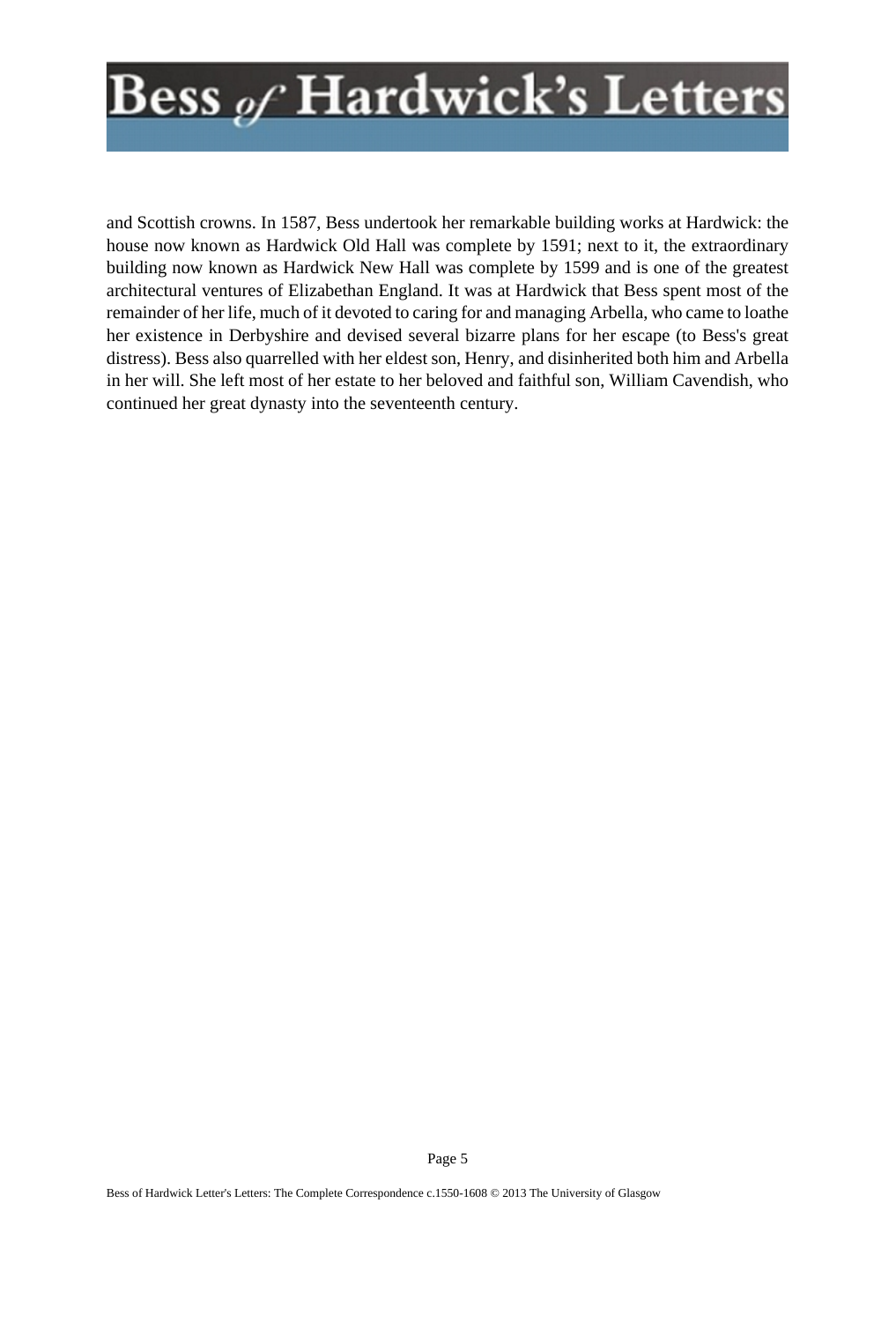and Scottish crowns. In 1587, Bess undertook her remarkable building works at Hardwick: the house now known as Hardwick Old Hall was complete by 1591; next to it, the extraordinary building now known as Hardwick New Hall was complete by 1599 and is one of the greatest architectural ventures of Elizabethan England. It was at Hardwick that Bess spent most of the remainder of her life, much of it devoted to caring for and managing Arbella, who came to loathe her existence in Derbyshire and devised several bizarre plans for her escape (to Bess's great distress). Bess also quarrelled with her eldest son, Henry, and disinherited both him and Arbella in her will. She left most of her estate to her beloved and faithful son, William Cavendish, who continued her great dynasty into the seventeenth century.

Page 5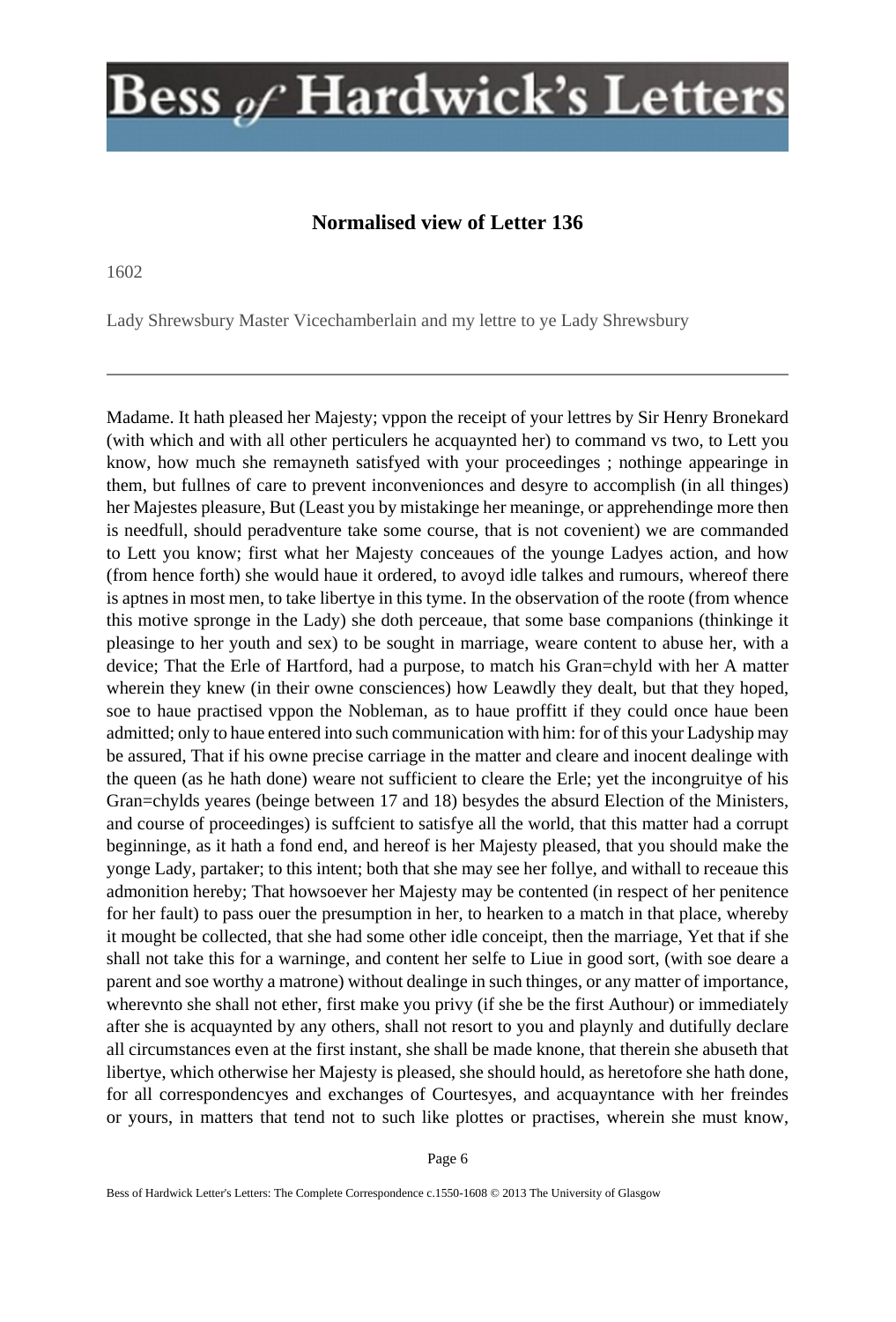### **Normalised view of Letter 136**

1602

Lady Shrewsbury Master Vicechamberlain and my lettre to ye Lady Shrewsbury

Madame. It hath pleased her Majesty; vppon the receipt of your lettres by Sir Henry Bronekard (with which and with all other perticulers he acquaynted her) to command vs two, to Lett you know, how much she remayneth satisfyed with your proceedinges ; nothinge appearinge in them, but fullnes of care to prevent inconvenionces and desyre to accomplish (in all thinges) her Majestes pleasure, But (Least you by mistakinge her meaninge, or apprehendinge more then is needfull, should peradventure take some course, that is not covenient) we are commanded to Lett you know; first what her Majesty conceaues of the younge Ladyes action, and how (from hence forth) she would haue it ordered, to avoyd idle talkes and rumours, whereof there is aptnes in most men, to take libertye in this tyme. In the observation of the roote (from whence this motive spronge in the Lady) she doth perceaue, that some base companions (thinkinge it pleasinge to her youth and sex) to be sought in marriage, weare content to abuse her, with a device; That the Erle of Hartford, had a purpose, to match his Gran=chyld with her A matter wherein they knew (in their owne consciences) how Leawdly they dealt, but that they hoped, soe to haue practised vppon the Nobleman, as to haue proffitt if they could once haue been admitted; only to haue entered into such communication with him: for of this your Ladyship may be assured, That if his owne precise carriage in the matter and cleare and inocent dealinge with the queen (as he hath done) weare not sufficient to cleare the Erle; yet the incongruitye of his Gran=chylds yeares (beinge between 17 and 18) besydes the absurd Election of the Ministers, and course of proceedinges) is suffcient to satisfye all the world, that this matter had a corrupt beginninge, as it hath a fond end, and hereof is her Majesty pleased, that you should make the yonge Lady, partaker; to this intent; both that she may see her follye, and withall to receaue this admonition hereby; That howsoever her Majesty may be contented (in respect of her penitence for her fault) to pass ouer the presumption in her, to hearken to a match in that place, whereby it mought be collected, that she had some other idle conceipt, then the marriage, Yet that if she shall not take this for a warninge, and content her selfe to Liue in good sort, (with soe deare a parent and soe worthy a matrone) without dealinge in such thinges, or any matter of importance, wherevnto she shall not ether, first make you privy (if she be the first Authour) or immediately after she is acquaynted by any others, shall not resort to you and playnly and dutifully declare all circumstances even at the first instant, she shall be made knone, that therein she abuseth that libertye, which otherwise her Majesty is pleased, she should hould, as heretofore she hath done, for all correspondencyes and exchanges of Courtesyes, and acquayntance with her freindes or yours, in matters that tend not to such like plottes or practises, wherein she must know,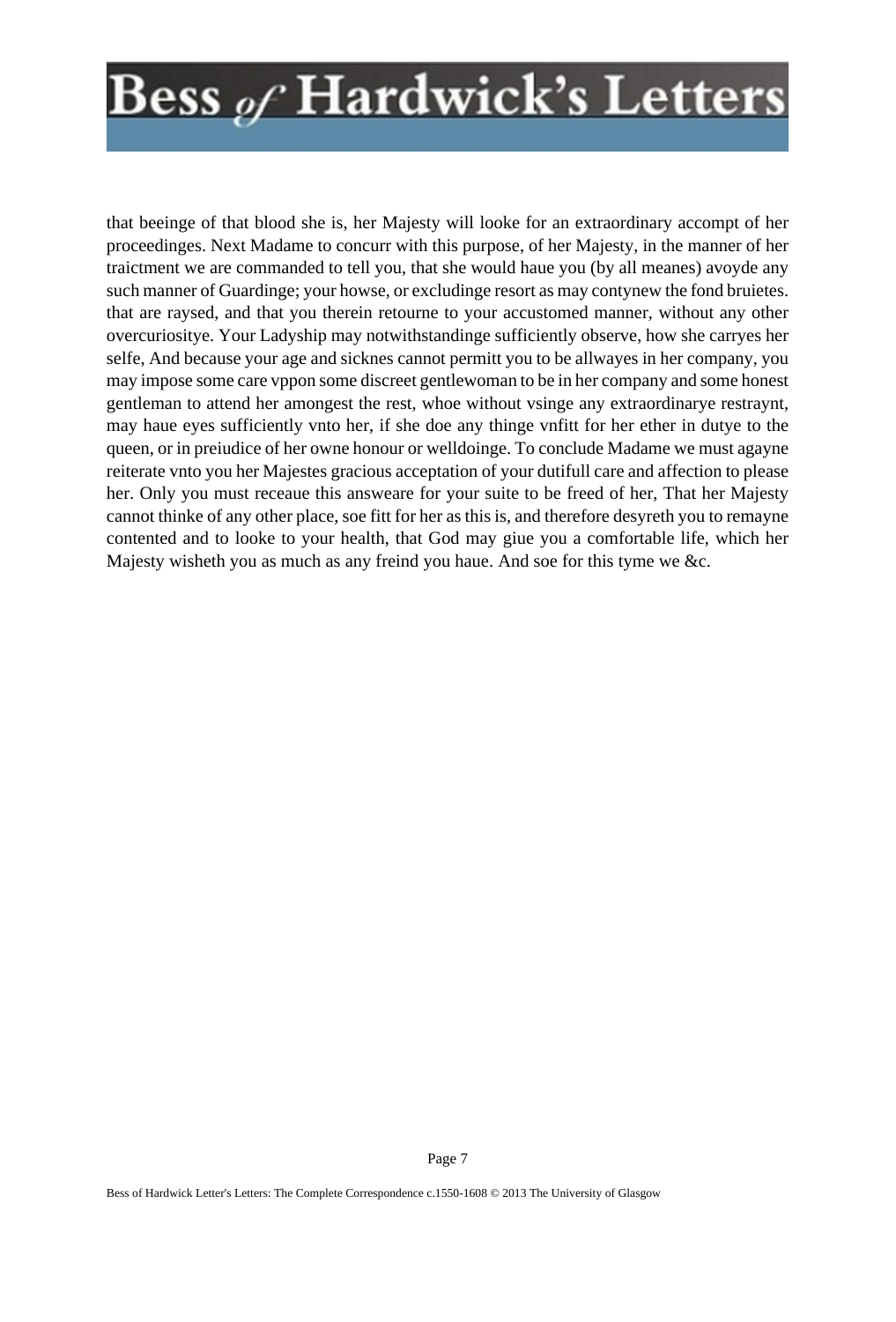that beeinge of that blood she is, her Majesty will looke for an extraordinary accompt of her proceedinges. Next Madame to concurr with this purpose, of her Majesty, in the manner of her traictment we are commanded to tell you, that she would haue you (by all meanes) avoyde any such manner of Guardinge; your howse, or excludinge resort as may contynew the fond bruietes. that are raysed, and that you therein retourne to your accustomed manner, without any other overcuriositye. Your Ladyship may notwithstandinge sufficiently observe, how she carryes her selfe, And because your age and sicknes cannot permitt you to be allwayes in her company, you may impose some care vppon some discreet gentlewoman to be in her company and some honest gentleman to attend her amongest the rest, whoe without vsinge any extraordinarye restraynt, may haue eyes sufficiently vnto her, if she doe any thinge vnfitt for her ether in dutye to the queen, or in preiudice of her owne honour or welldoinge. To conclude Madame we must agayne reiterate vnto you her Majestes gracious acceptation of your dutifull care and affection to please her. Only you must receaue this answeare for your suite to be freed of her, That her Majesty cannot thinke of any other place, soe fitt for her as this is, and therefore desyreth you to remayne contented and to looke to your health, that God may giue you a comfortable life, which her Majesty wisheth you as much as any freind you haue. And soe for this tyme we &c.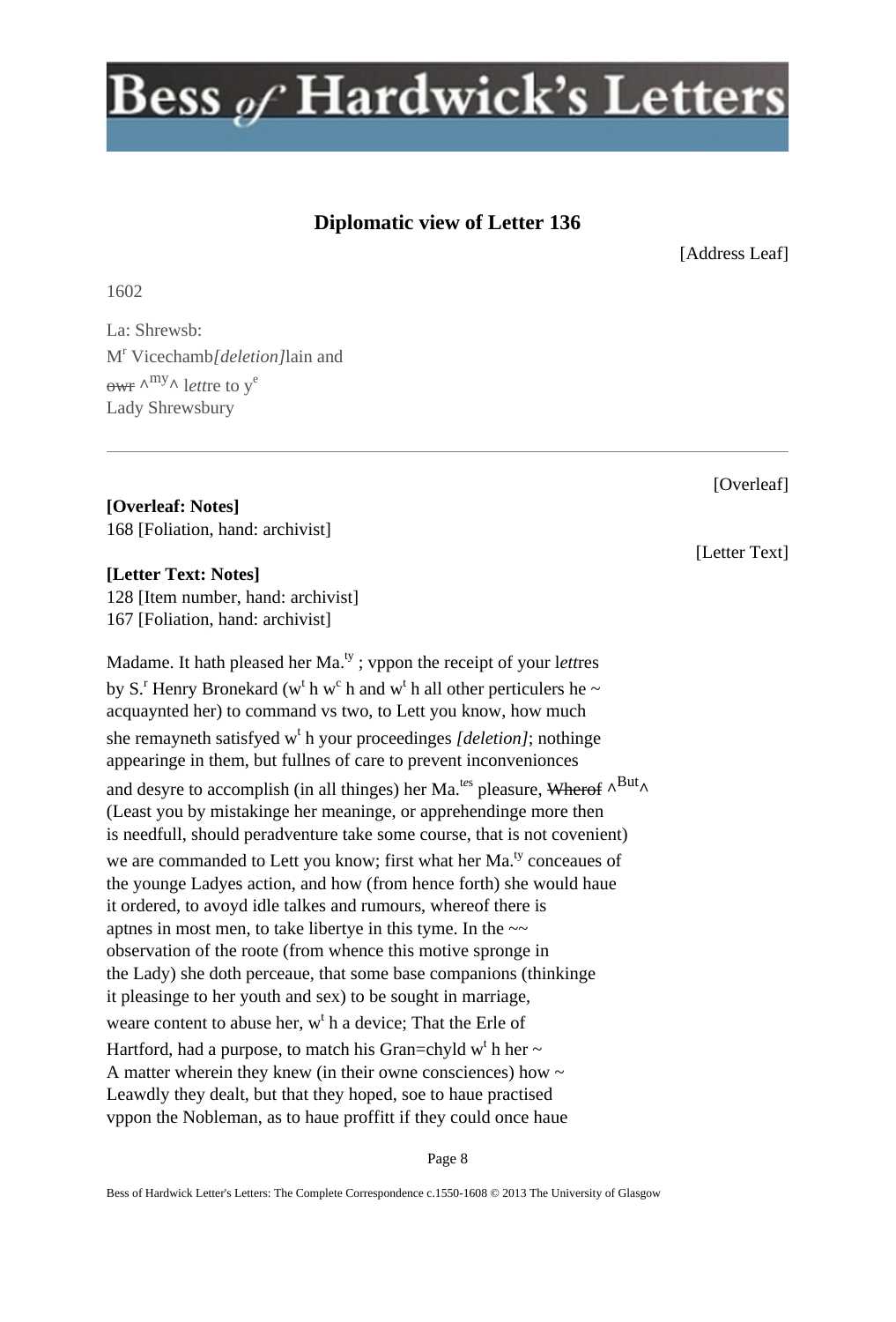### **Diplomatic view of Letter 136**

[Address Leaf]

1602

La: Shrewsb: M<sup>r</sup> Vicechamb[deletion]lain and owr **^** my**^** l*ett*re to y<sup>e</sup> Lady Shrewsbury

**[Overleaf: Notes]** 168 [Foliation, hand: archivist]

**[Letter Text: Notes]** 128 [Item number, hand: archivist] 167 [Foliation, hand: archivist]

Madame. It hath pleased her Ma.<sup>ty</sup>; vppon the receipt of your lettres by S.<sup>r</sup> Henry Bronekard (w<sup>t</sup> h w<sup>c</sup> h and w<sup>t</sup> h all other perticulers he ~ acquaynted her) to command vs two, to Lett you know, how much she remayneth satisfyed w<sup>t</sup> h your proceedinges [deletion]; nothinge appearinge in them, but fullnes of care to prevent inconvenionces

and desyre to accomplish (in all thinges) her Ma.<sup>tes</sup> pleasure, Wherof  $\wedge^{\text{But}}$ (Least you by mistakinge her meaninge, or apprehendinge more then is needfull, should peradventure take some course, that is not covenient) we are commanded to Lett you know; first what her Ma.<sup>ty</sup> conceaues of the younge Ladyes action, and how (from hence forth) she would haue it ordered, to avoyd idle talkes and rumours, whereof there is aptnes in most men, to take libertye in this tyme. In the  $\sim$ observation of the roote (from whence this motive spronge in the Lady) she doth perceaue, that some base companions (thinkinge it pleasinge to her youth and sex) to be sought in marriage, weare content to abuse her,  $w^t$  h a device; That the Erle of Hartford, had a purpose, to match his Gran=chyld  $w<sup>t</sup>$  h her  $\sim$ A matter wherein they knew (in their owne consciences) how  $\sim$ Leawdly they dealt, but that they hoped, soe to haue practised vppon the Nobleman, as to haue proffitt if they could once haue

Page 8

[Overleaf]

[Letter Text]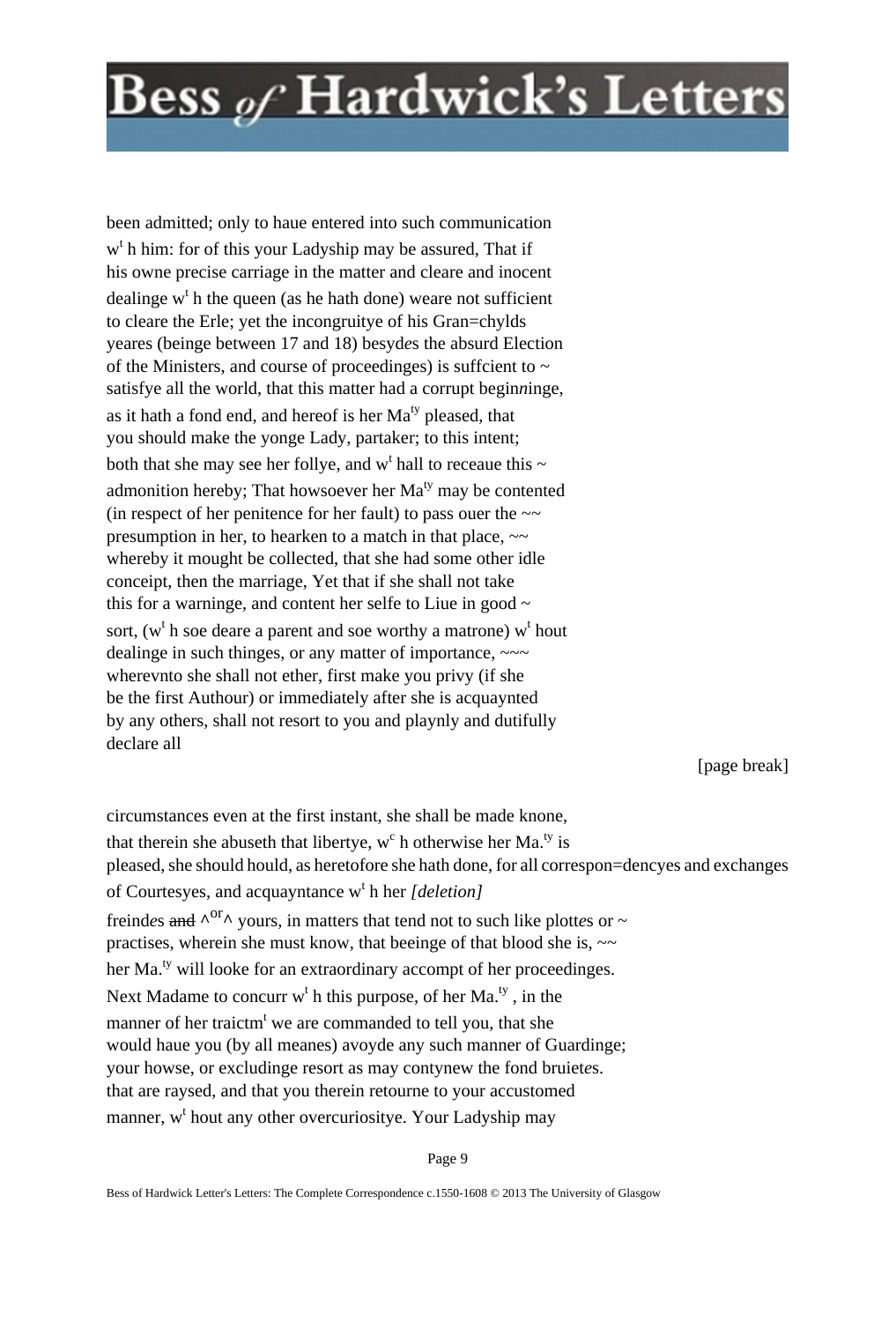been admitted; only to haue entered into such communication w<sup>t</sup> h him: for of this your Ladyship may be assured, That if his owne precise carriage in the matter and cleare and inocent dealinge  $w<sup>t</sup>$  h the queen (as he hath done) weare not sufficient to cleare the Erle; yet the incongruitye of his Gran=chylds yeares (beinge between 17 and 18) besyd*e*s the absurd Election of the Ministers, and course of proceedinges) is suffcient to  $\sim$ satisfye all the world, that this matter had a corrupt begin*n*inge, as it hath a fond end, and hereof is her Ma<sup>ty</sup> pleased, that you should make the yonge Lady, partaker; to this intent; both that she may see her follye, and  $w<sup>t</sup>$  hall to receaue this  $\sim$ admonition hereby; That howsoever her Ma<sup>ty</sup> may be contented (in respect of her penitence for her fault) to pass ouer the  $\sim$ presumption in her, to hearken to a match in that place,  $\sim$ whereby it mought be collected, that she had some other idle conceipt, then the marriage, Yet that if she shall not take this for a warninge, and content her selfe to Liue in good  $\sim$ sort, ( $w<sup>t</sup>$  h soe deare a parent and soe worthy a matrone)  $w<sup>t</sup>$  hout dealinge in such thinges, or any matter of importance,  $\sim \sim$ wherevnto she shall not ether, first make you privy (if she be the first Authour) or immediately after she is acquaynted by any others, shall not resort to you and playnly and dutifully declare all

[page break]

circumstances even at the first instant, she shall be made knone, that therein she abuseth that libertye,  $w^c$  h otherwise her Ma.<sup>ty</sup> is pleased, she should hould, as heretofore she hath done, for all correspon=dencyes and exchanges of Courtesyes, and acquayntance w<sup>t</sup> h her [deletion] freind*e*s and  $\lambda^{or}$  yours, in matters that tend not to such like plottes or ~ practises, wherein she must know, that beeinge of that blood she is,  $\sim$ her Ma.<sup>ty</sup> will looke for an extraordinary accompt of her proceedinges. Next Madame to concurr  $w^t$  h this purpose, of her Ma.<sup>ty</sup>, in the manner of her traictm<sup>t</sup> we are commanded to tell you, that she would haue you (by all meanes) avoyde any such manner of Guardinge; your howse, or excludinge resort as may contynew the fond bruiet*e*s. that are raysed, and that you therein retourne to your accustomed manner, w<sup>t</sup> hout any other overcuriositye. Your Ladyship may

Page 9